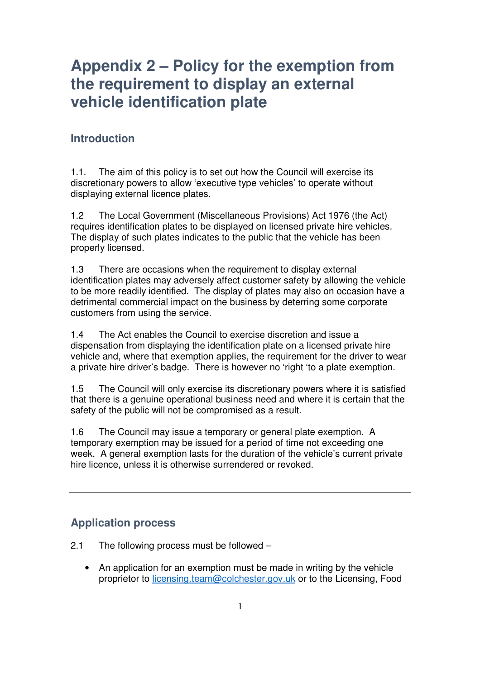### **Introduction**

1.1. The aim of this policy is to set out how the Council will exercise its discretionary powers to allow 'executive type vehicles' to operate without displaying external licence plates.

1.2 The Local Government (Miscellaneous Provisions) Act 1976 (the Act) requires identification plates to be displayed on licensed private hire vehicles. The display of such plates indicates to the public that the vehicle has been properly licensed.

1.3 There are occasions when the requirement to display external identification plates may adversely affect customer safety by allowing the vehicle to be more readily identified. The display of plates may also on occasion have a detrimental commercial impact on the business by deterring some corporate customers from using the service.

1.4 The Act enables the Council to exercise discretion and issue a dispensation from displaying the identification plate on a licensed private hire vehicle and, where that exemption applies, the requirement for the driver to wear a private hire driver's badge. There is however no 'right 'to a plate exemption.

1.5 The Council will only exercise its discretionary powers where it is satisfied that there is a genuine operational business need and where it is certain that the safety of the public will not be compromised as a result.

1.6 The Council may issue a temporary or general plate exemption. A temporary exemption may be issued for a period of time not exceeding one week. A general exemption lasts for the duration of the vehicle's current private hire licence, unless it is otherwise surrendered or revoked.

### **Application process**

- 2.1 The following process must be followed
	- An application for an exemption must be made in writing by the vehicle proprietor to licensing.team@colchester.gov.uk or to the Licensing, Food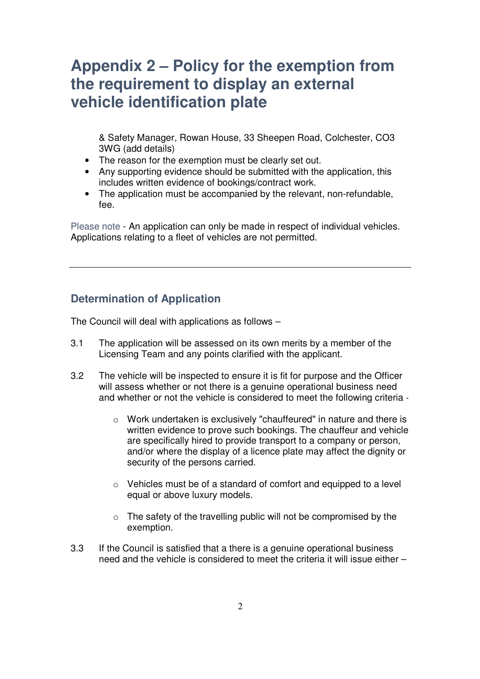& Safety Manager, Rowan House, 33 Sheepen Road, Colchester, CO3 3WG (add details)

- The reason for the exemption must be clearly set out.
- Any supporting evidence should be submitted with the application, this includes written evidence of bookings/contract work.
- The application must be accompanied by the relevant, non-refundable, fee.

Please note - An application can only be made in respect of individual vehicles. Applications relating to a fleet of vehicles are not permitted.

#### **Determination of Application**

The Council will deal with applications as follows –

- 3.1 The application will be assessed on its own merits by a member of the Licensing Team and any points clarified with the applicant.
- 3.2 The vehicle will be inspected to ensure it is fit for purpose and the Officer will assess whether or not there is a genuine operational business need and whether or not the vehicle is considered to meet the following criteria
	- o Work undertaken is exclusively "chauffeured" in nature and there is written evidence to prove such bookings. The chauffeur and vehicle are specifically hired to provide transport to a company or person, and/or where the display of a licence plate may affect the dignity or security of the persons carried.
	- o Vehicles must be of a standard of comfort and equipped to a level equal or above luxury models.
	- $\circ$  The safety of the travelling public will not be compromised by the exemption.
- 3.3 If the Council is satisfied that a there is a genuine operational business need and the vehicle is considered to meet the criteria it will issue either –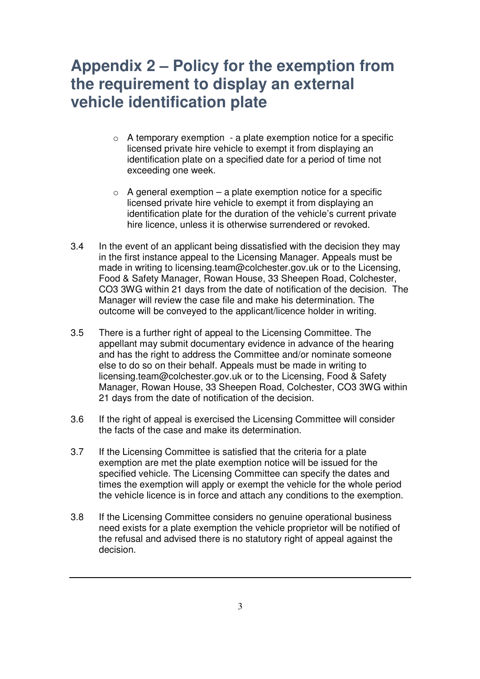- $\circ$  A temporary exemption a plate exemption notice for a specific licensed private hire vehicle to exempt it from displaying an identification plate on a specified date for a period of time not exceeding one week.
- $\circ$  A general exemption a plate exemption notice for a specific licensed private hire vehicle to exempt it from displaying an identification plate for the duration of the vehicle's current private hire licence, unless it is otherwise surrendered or revoked.
- 3.4 In the event of an applicant being dissatisfied with the decision they may in the first instance appeal to the Licensing Manager. Appeals must be made in writing to licensing.team@colchester.gov.uk or to the Licensing, Food & Safety Manager, Rowan House, 33 Sheepen Road, Colchester, CO3 3WG within 21 days from the date of notification of the decision. The Manager will review the case file and make his determination. The outcome will be conveyed to the applicant/licence holder in writing.
- 3.5 There is a further right of appeal to the Licensing Committee. The appellant may submit documentary evidence in advance of the hearing and has the right to address the Committee and/or nominate someone else to do so on their behalf. Appeals must be made in writing to licensing.team@colchester.gov.uk or to the Licensing, Food & Safety Manager, Rowan House, 33 Sheepen Road, Colchester, CO3 3WG within 21 days from the date of notification of the decision.
- 3.6 If the right of appeal is exercised the Licensing Committee will consider the facts of the case and make its determination.
- 3.7 If the Licensing Committee is satisfied that the criteria for a plate exemption are met the plate exemption notice will be issued for the specified vehicle. The Licensing Committee can specify the dates and times the exemption will apply or exempt the vehicle for the whole period the vehicle licence is in force and attach any conditions to the exemption.
- 3.8 If the Licensing Committee considers no genuine operational business need exists for a plate exemption the vehicle proprietor will be notified of the refusal and advised there is no statutory right of appeal against the decision.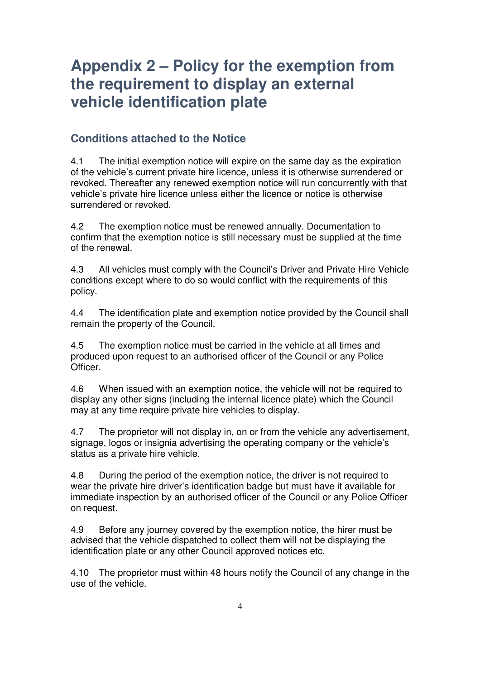#### **Conditions attached to the Notice**

4.1 The initial exemption notice will expire on the same day as the expiration of the vehicle's current private hire licence, unless it is otherwise surrendered or revoked. Thereafter any renewed exemption notice will run concurrently with that vehicle's private hire licence unless either the licence or notice is otherwise surrendered or revoked.

4.2 The exemption notice must be renewed annually. Documentation to confirm that the exemption notice is still necessary must be supplied at the time of the renewal.

4.3 All vehicles must comply with the Council's Driver and Private Hire Vehicle conditions except where to do so would conflict with the requirements of this policy.

4.4 The identification plate and exemption notice provided by the Council shall remain the property of the Council.

4.5 The exemption notice must be carried in the vehicle at all times and produced upon request to an authorised officer of the Council or any Police Officer.

4.6 When issued with an exemption notice, the vehicle will not be required to display any other signs (including the internal licence plate) which the Council may at any time require private hire vehicles to display.

4.7 The proprietor will not display in, on or from the vehicle any advertisement, signage, logos or insignia advertising the operating company or the vehicle's status as a private hire vehicle.

4.8 During the period of the exemption notice, the driver is not required to wear the private hire driver's identification badge but must have it available for immediate inspection by an authorised officer of the Council or any Police Officer on request.

4.9 Before any journey covered by the exemption notice, the hirer must be advised that the vehicle dispatched to collect them will not be displaying the identification plate or any other Council approved notices etc.

4.10 The proprietor must within 48 hours notify the Council of any change in the use of the vehicle.